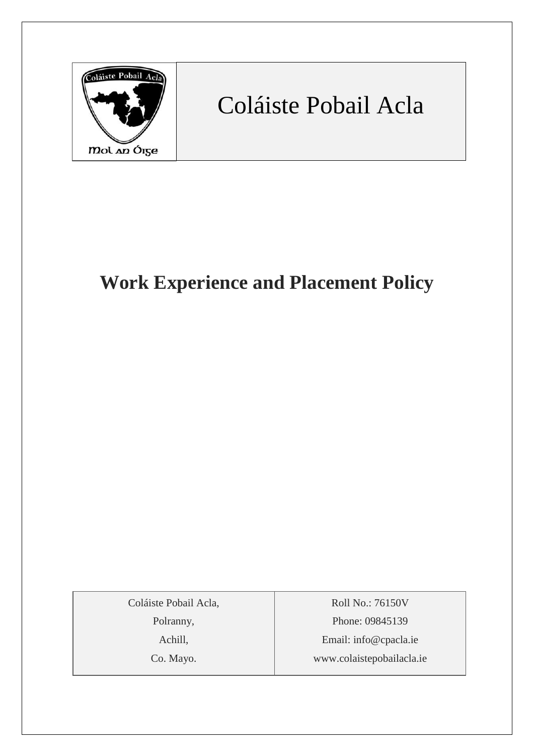

# Coláiste Pobail Acla

# **Work Experience and Placement Policy**

Coláiste Pobail Acla,

Polranny,

Achill,

Co. Mayo.

Roll No.: 76150V Phone: 09845139 Email: [info@cpacla.ie](mailto:info@cpacla.ie) www.colaistepobailacla.ie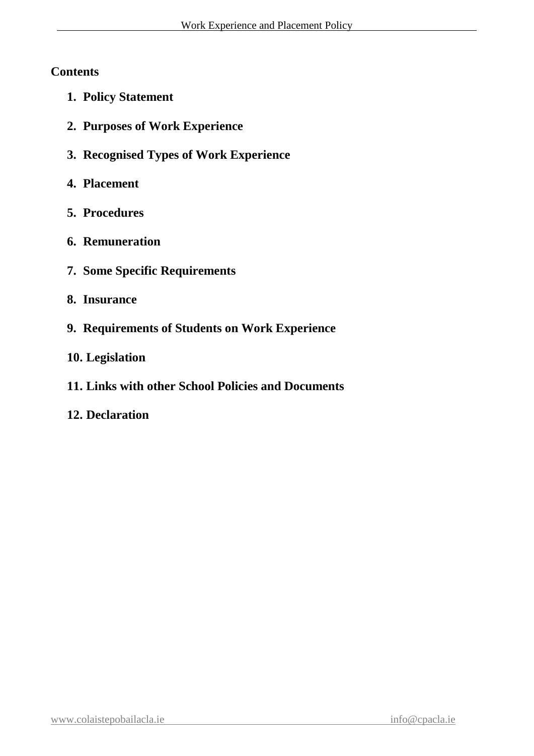# **Contents**

- **1. Policy Statement**
- **2. Purposes of Work Experience**
- **3. Recognised Types of Work Experience**
- **4. Placement**
- **5. Procedures**
- **6. Remuneration**
- **7. Some Specific Requirements**
- **8. Insurance**
- **9. Requirements of Students on Work Experience**
- **10. Legislation**
- **11. Links with other School Policies and Documents**
- **12. Declaration**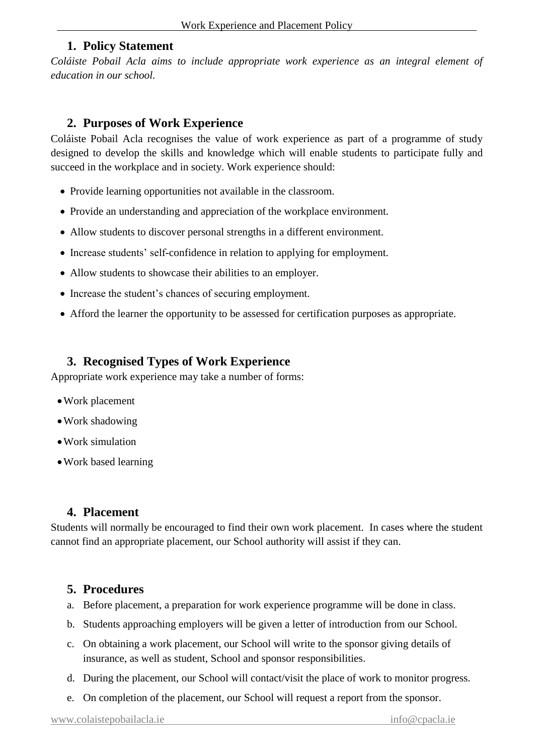#### **1. Policy Statement**

*Coláiste Pobail Acla aims to include appropriate work experience as an integral element of education in our school.* 

#### **2. Purposes of Work Experience**

Coláiste Pobail Acla recognises the value of work experience as part of a programme of study designed to develop the skills and knowledge which will enable students to participate fully and succeed in the workplace and in society. Work experience should:

- Provide learning opportunities not available in the classroom.
- Provide an understanding and appreciation of the workplace environment.
- Allow students to discover personal strengths in a different environment.
- Increase students' self-confidence in relation to applying for employment.
- Allow students to showcase their abilities to an employer.
- Increase the student's chances of securing employment.
- Afford the learner the opportunity to be assessed for certification purposes as appropriate.

# **3. Recognised Types of Work Experience**

Appropriate work experience may take a number of forms:

- •Work placement
- •Work shadowing
- •Work simulation
- •Work based learning

#### **4. Placement**

Students will normally be encouraged to find their own work placement. In cases where the student cannot find an appropriate placement, our School authority will assist if they can.

### **5. Procedures**

- a. Before placement, a preparation for work experience programme will be done in class.
- b. Students approaching employers will be given a letter of introduction from our School.
- c. On obtaining a work placement, our School will write to the sponsor giving details of insurance, as well as student, School and sponsor responsibilities.
- d. During the placement, our School will contact/visit the place of work to monitor progress.
- e. On completion of the placement, our School will request a report from the sponsor.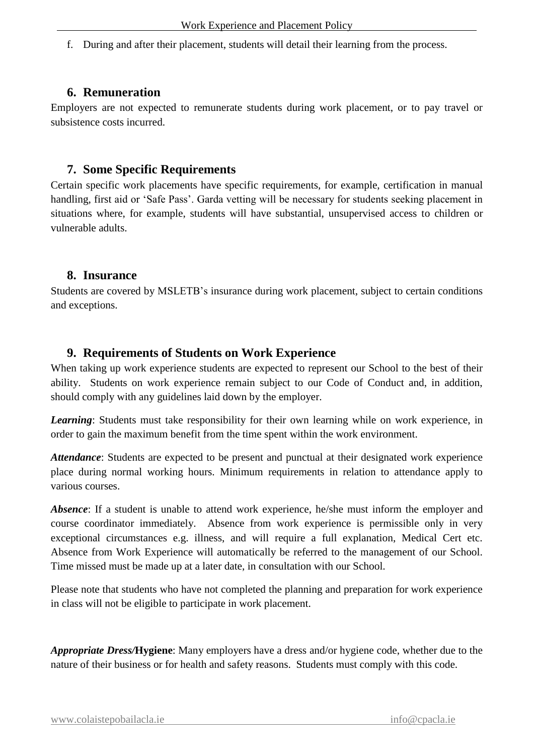f. During and after their placement, students will detail their learning from the process.

#### **6. Remuneration**

Employers are not expected to remunerate students during work placement, or to pay travel or subsistence costs incurred.

#### **7. Some Specific Requirements**

Certain specific work placements have specific requirements, for example, certification in manual handling, first aid or 'Safe Pass'. Garda vetting will be necessary for students seeking placement in situations where, for example, students will have substantial, unsupervised access to children or vulnerable adults.

#### **8. Insurance**

Students are covered by MSLETB's insurance during work placement, subject to certain conditions and exceptions.

#### **9. Requirements of Students on Work Experience**

When taking up work experience students are expected to represent our School to the best of their ability. Students on work experience remain subject to our Code of Conduct and, in addition, should comply with any guidelines laid down by the employer.

*Learning*: Students must take responsibility for their own learning while on work experience, in order to gain the maximum benefit from the time spent within the work environment.

*Attendance*: Students are expected to be present and punctual at their designated work experience place during normal working hours. Minimum requirements in relation to attendance apply to various courses.

*Absence*: If a student is unable to attend work experience, he/she must inform the employer and course coordinator immediately. Absence from work experience is permissible only in very exceptional circumstances e.g. illness, and will require a full explanation, Medical Cert etc. Absence from Work Experience will automatically be referred to the management of our School. Time missed must be made up at a later date, in consultation with our School.

Please note that students who have not completed the planning and preparation for work experience in class will not be eligible to participate in work placement.

*Appropriate Dress/***Hygiene**: Many employers have a dress and/or hygiene code, whether due to the nature of their business or for health and safety reasons. Students must comply with this code.